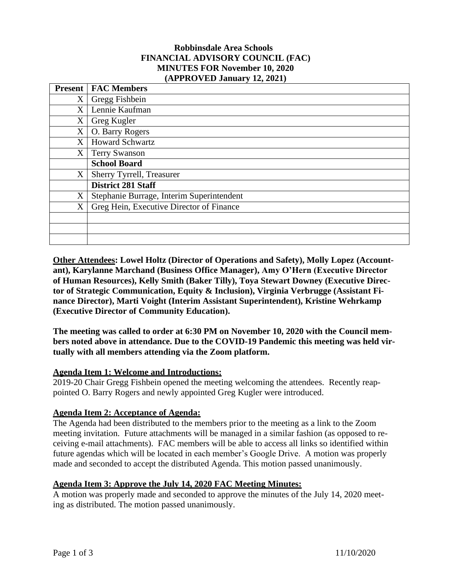## **Robbinsdale Area Schools FINANCIAL ADVISORY COUNCIL (FAC) MINUTES FOR November 10, 2020 (APPROVED January 12, 2021)**

| <b>Present</b> | <b>FAC Members</b>                        |
|----------------|-------------------------------------------|
| X              | Gregg Fishbein                            |
| X              | Lennie Kaufman                            |
| X              | Greg Kugler                               |
| X              | O. Barry Rogers                           |
| X              | <b>Howard Schwartz</b>                    |
| X              | <b>Terry Swanson</b>                      |
|                | <b>School Board</b>                       |
| X              | Sherry Tyrrell, Treasurer                 |
|                | <b>District 281 Staff</b>                 |
| X              | Stephanie Burrage, Interim Superintendent |
| X              | Greg Hein, Executive Director of Finance  |
|                |                                           |
|                |                                           |
|                |                                           |

**Other Attendees: Lowel Holtz (Director of Operations and Safety), Molly Lopez (Accountant), Karylanne Marchand (Business Office Manager), Amy O'Hern (Executive Director of Human Resources), Kelly Smith (Baker Tilly), Toya Stewart Downey (Executive Director of Strategic Communication, Equity & Inclusion), Virginia Verbrugge (Assistant Finance Director), Marti Voight (Interim Assistant Superintendent), Kristine Wehrkamp (Executive Director of Community Education).**

**The meeting was called to order at 6:30 PM on November 10, 2020 with the Council members noted above in attendance. Due to the COVID-19 Pandemic this meeting was held virtually with all members attending via the Zoom platform.**

## **Agenda Item 1: Welcome and Introductions:**

2019-20 Chair Gregg Fishbein opened the meeting welcoming the attendees. Recently reappointed O. Barry Rogers and newly appointed Greg Kugler were introduced.

## **Agenda Item 2: Acceptance of Agenda:**

The Agenda had been distributed to the members prior to the meeting as a link to the Zoom meeting invitation. Future attachments will be managed in a similar fashion (as opposed to receiving e-mail attachments). FAC members will be able to access all links so identified within future agendas which will be located in each member's Google Drive. A motion was properly made and seconded to accept the distributed Agenda. This motion passed unanimously.

## **Agenda Item 3: Approve the July 14, 2020 FAC Meeting Minutes:**

A motion was properly made and seconded to approve the minutes of the July 14, 2020 meeting as distributed. The motion passed unanimously.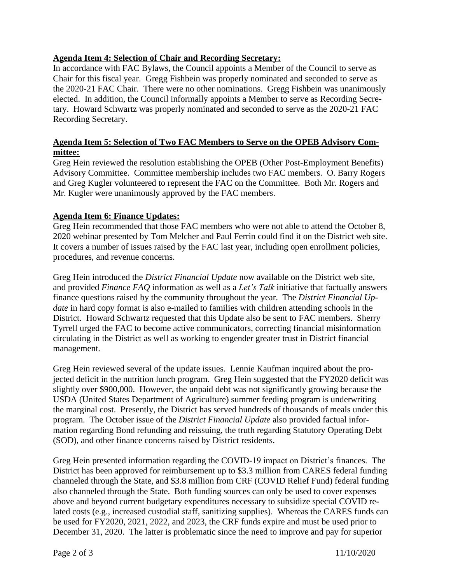# **Agenda Item 4: Selection of Chair and Recording Secretary:**

In accordance with FAC Bylaws, the Council appoints a Member of the Council to serve as Chair for this fiscal year. Gregg Fishbein was properly nominated and seconded to serve as the 2020-21 FAC Chair. There were no other nominations. Gregg Fishbein was unanimously elected. In addition, the Council informally appoints a Member to serve as Recording Secretary. Howard Schwartz was properly nominated and seconded to serve as the 2020-21 FAC Recording Secretary.

# **Agenda Item 5: Selection of Two FAC Members to Serve on the OPEB Advisory Committee:**

Greg Hein reviewed the resolution establishing the OPEB (Other Post-Employment Benefits) Advisory Committee. Committee membership includes two FAC members. O. Barry Rogers and Greg Kugler volunteered to represent the FAC on the Committee. Both Mr. Rogers and Mr. Kugler were unanimously approved by the FAC members.

# **Agenda Item 6: Finance Updates:**

Greg Hein recommended that those FAC members who were not able to attend the October 8, 2020 webinar presented by Tom Melcher and Paul Ferrin could find it on the District web site. It covers a number of issues raised by the FAC last year, including open enrollment policies, procedures, and revenue concerns.

Greg Hein introduced the *District Financial Update* now available on the District web site, and provided *Finance FAQ* information as well as a *Let's Talk* initiative that factually answers finance questions raised by the community throughout the year. The *District Financial Update* in hard copy format is also e-mailed to families with children attending schools in the District. Howard Schwartz requested that this Update also be sent to FAC members. Sherry Tyrrell urged the FAC to become active communicators, correcting financial misinformation circulating in the District as well as working to engender greater trust in District financial management.

Greg Hein reviewed several of the update issues. Lennie Kaufman inquired about the projected deficit in the nutrition lunch program. Greg Hein suggested that the FY2020 deficit was slightly over \$900,000. However, the unpaid debt was not significantly growing because the USDA (United States Department of Agriculture) summer feeding program is underwriting the marginal cost. Presently, the District has served hundreds of thousands of meals under this program. The October issue of the *District Financial Update* also provided factual information regarding Bond refunding and reissuing, the truth regarding Statutory Operating Debt (SOD), and other finance concerns raised by District residents.

Greg Hein presented information regarding the COVID-19 impact on District's finances. The District has been approved for reimbursement up to \$3.3 million from CARES federal funding channeled through the State, and \$3.8 million from CRF (COVID Relief Fund) federal funding also channeled through the State. Both funding sources can only be used to cover expenses above and beyond current budgetary expenditures necessary to subsidize special COVID related costs (e.g., increased custodial staff, sanitizing supplies). Whereas the CARES funds can be used for FY2020, 2021, 2022, and 2023, the CRF funds expire and must be used prior to December 31, 2020. The latter is problematic since the need to improve and pay for superior